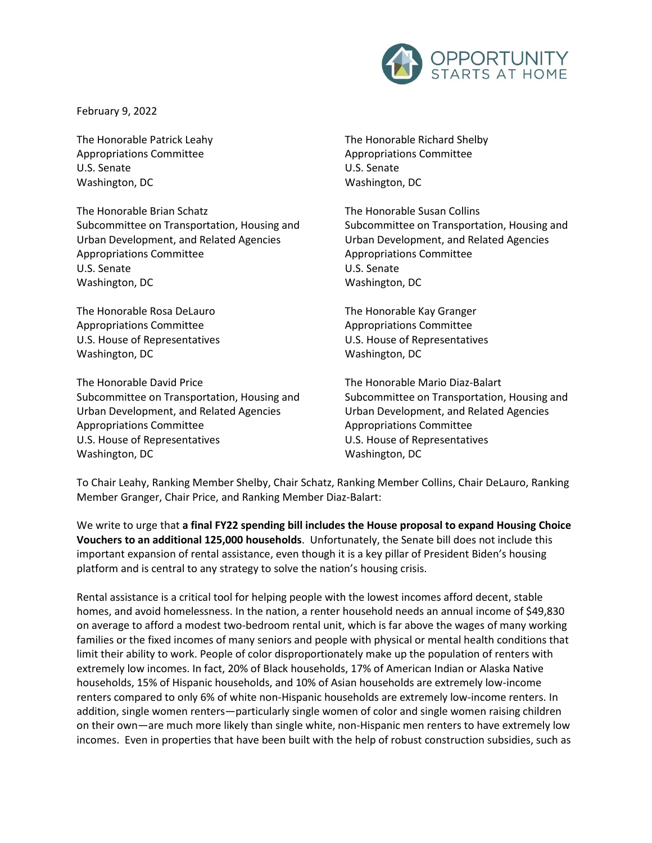

February 9, 2022

The Honorable Patrick Leahy Appropriations Committee U.S. Senate Washington, DC

The Honorable Brian Schatz Subcommittee on Transportation, Housing and Urban Development, and Related Agencies Appropriations Committee U.S. Senate Washington, DC

The Honorable Rosa DeLauro Appropriations Committee U.S. House of Representatives Washington, DC

The Honorable David Price Subcommittee on Transportation, Housing and Urban Development, and Related Agencies Appropriations Committee U.S. House of Representatives Washington, DC

The Honorable Richard Shelby Appropriations Committee U.S. Senate Washington, DC

The Honorable Susan Collins Subcommittee on Transportation, Housing and Urban Development, and Related Agencies Appropriations Committee U.S. Senate Washington, DC

The Honorable Kay Granger Appropriations Committee U.S. House of Representatives Washington, DC

The Honorable Mario Diaz-Balart Subcommittee on Transportation, Housing and Urban Development, and Related Agencies Appropriations Committee U.S. House of Representatives Washington, DC

To Chair Leahy, Ranking Member Shelby, Chair Schatz, Ranking Member Collins, Chair DeLauro, Ranking Member Granger, Chair Price, and Ranking Member Diaz-Balart:

We write to urge that **a final FY22 spending bill includes the House proposal to expand Housing Choice Vouchers to an additional 125,000 households**. Unfortunately, the Senate bill does not include this important expansion of rental assistance, even though it is a key pillar of President Biden's housing platform and is central to any strategy to solve the nation's housing crisis.

Rental assistance is a critical tool for helping people with the lowest incomes afford decent, stable homes, and avoid homelessness. In the nation, a renter household needs an annual income of \$49,830 on average to afford a modest two-bedroom rental unit, which is far above the wages of many working families or the fixed incomes of many seniors and people with physical or mental health conditions that limit their ability to work. People of color disproportionately make up the population of renters with extremely low incomes. In fact, 20% of Black households, 17% of American Indian or Alaska Native households, 15% of Hispanic households, and 10% of Asian households are extremely low-income renters compared to only 6% of white non-Hispanic households are extremely low-income renters. In addition, single women renters—particularly single women of color and single women raising children on their own—are much more likely than single white, non-Hispanic men renters to have extremely low incomes. Even in properties that have been built with the help of robust construction subsidies, such as